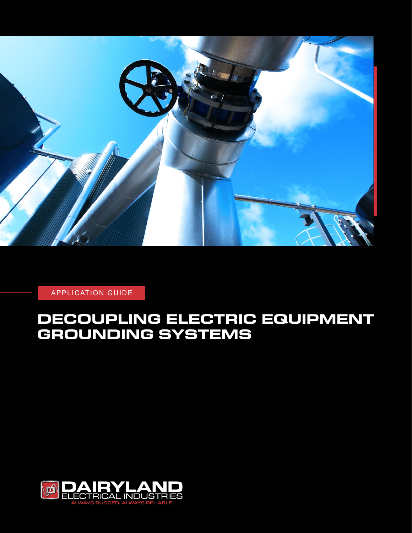

APPLICATION GUIDE

# **DECOUPLING ELECTRIC EQUIPMENT GROUNDING SYSTEMS**

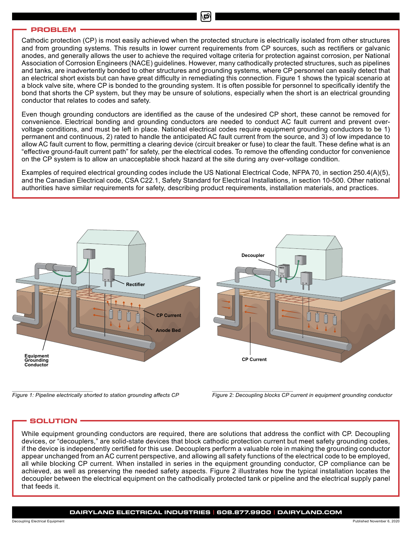#### **PROBLEM**

Cathodic protection (CP) is most easily achieved when the protected structure is electrically isolated from other structures and from grounding systems. This results in lower current requirements from CP sources, such as rectifiers or galvanic anodes, and generally allows the user to achieve the required voltage criteria for protection against corrosion, per National Association of Corrosion Engineers (NACE) guidelines. However, many cathodically protected structures, such as pipelines and tanks, are inadvertently bonded to other structures and grounding systems, where CP personnel can easily detect that an electrical short exists but can have great difficulty in remediating this connection. Figure 1 shows the typical scenario at a block valve site, where CP is bonded to the grounding system. It is often possible for personnel to specifically identify the bond that shorts the CP system, but they may be unsure of solutions, especially when the short is an electrical grounding conductor that relates to codes and safety.

Even though grounding conductors are identified as the cause of the undesired CP short, these cannot be removed for convenience. Electrical bonding and grounding conductors are needed to conduct AC fault current and prevent overvoltage conditions, and must be left in place. National electrical codes require equipment grounding conductors to be 1) permanent and continuous, 2) rated to handle the anticipated AC fault current from the source, and 3) of low impedance to allow AC fault current to flow, permitting a clearing device (circuit breaker or fuse) to clear the fault. These define what is an "effective ground-fault current path" for safety, per the electrical codes. To remove the offending conductor for convenience on the CP system is to allow an unacceptable shock hazard at the site during any over-voltage condition.

Examples of required electrical grounding codes include the US National Electrical Code, NFPA 70, in section 250.4(A)(5), and the Canadian Electrical code, CSA C22.1, Safety Standard for Electrical Installations, in section 10-500. Other national authorities have similar requirements for safety, describing product requirements, installation materials, and practices.



*Figure 1: Pipeline electrically shorted to station grounding affects CP Figure 2: Decoupling blocks CP current in equipment grounding conductor*

# **SOLUTION**

While equipment grounding conductors are required, there are solutions that address the conflict with CP. Decoupling devices, or "decouplers," are solid-state devices that block cathodic protection current but meet safety grounding codes, if the device is independently certified for this use. Decouplers perform a valuable role in making the grounding conductor appear unchanged from an AC current perspective, and allowing all safety functions of the electrical code to be employed, all while blocking CP current. When installed in series in the equipment grounding conductor, CP compliance can be achieved, as well as preserving the needed safety aspects. Figure 2 illustrates how the typical installation locates the decoupler between the electrical equipment on the cathodically protected tank or pipeline and the electrical supply panel that feeds it.

#### **DAIRYLAND ELECTRICAL INDUSTRIES | 608.877.9900 | DAIRYLAND.COM**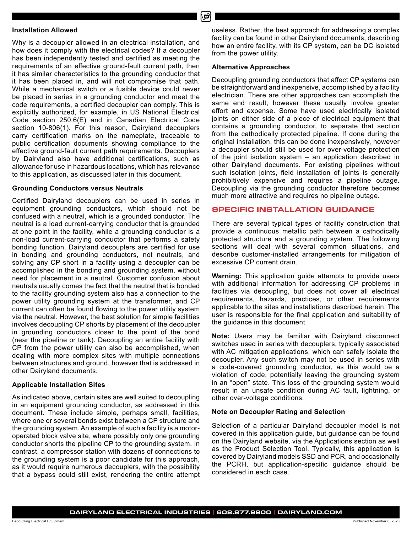νΩ

#### **Installation Allowed**

Why is a decoupler allowed in an electrical installation, and how does it comply with the electrical codes? If a decoupler has been independently tested and certified as meeting the requirements of an effective ground-fault current path, then it has similar characteristics to the grounding conductor that it has been placed in, and will not compromise that path. While a mechanical switch or a fusible device could never be placed in series in a grounding conductor and meet the code requirements, a certified decoupler can comply. This is explicitly authorized, for example, in US National Electrical Code section 250.6(E) and in Canadian Electrical Code section 10-806(1). For this reason, Dairyland decouplers carry certification marks on the nameplate, traceable to public certification documents showing compliance to the effective ground-fault current path requirements. Decouplers by Dairyland also have additional certifications, such as allowance for use in hazardous locations, which has relevance to this application, as discussed later in this document.

#### **Grounding Conductors versus Neutrals**

Certified Dairyland decouplers can be used in series in equipment grounding conductors, which should not be confused with a neutral, which is a grounded conductor. The neutral is a load current-carrying conductor that is grounded at one point in the facility, while a grounding conductor is a non-load current-carrying conductor that performs a safety bonding function. Dairyland decouplers are certified for use in bonding and grounding conductors, not neutrals, and solving any CP short in a facility using a decoupler can be accomplished in the bonding and grounding system, without need for placement in a neutral. Customer confusion about neutrals usually comes the fact that the neutral that is bonded to the facility grounding system also has a connection to the power utility grounding system at the transformer, and CP current can often be found flowing to the power utility system via the neutral. However, the best solution for simple facilities involves decoupling CP shorts by placement of the decoupler in grounding conductors closer to the point of the bond (near the pipeline or tank). Decoupling an entire facility with CP from the power utility can also be accomplished, when dealing with more complex sites with multiple connections between structures and ground, however that is addressed in other Dairyland documents.

#### **Applicable Installation Sites**

As indicated above, certain sites are well suited to decoupling in an equipment grounding conductor, as addressed in this document. These include simple, perhaps small, facilities, where one or several bonds exist between a CP structure and the grounding system. An example of such a facility is a motoroperated block valve site, where possibly only one grounding conductor shorts the pipeline CP to the grounding system. In contrast, a compressor station with dozens of connections to the grounding system is a poor candidate for this approach, as it would require numerous decouplers, with the possibility that a bypass could still exist, rendering the entire attempt useless. Rather, the best approach for addressing a complex facility can be found in other Dairyland documents, describing how an entire facility, with its CP system, can be DC isolated from the power utility.

#### **Alternative Approaches**

Decoupling grounding conductors that affect CP systems can be straightforward and inexpensive, accomplished by a facility electrician. There are other approaches can accomplish the same end result, however these usually involve greater effort and expense. Some have used electrically isolated joints on either side of a piece of electrical equipment that contains a grounding conductor, to separate that section from the cathodically protected pipeline. If done during the original installation, this can be done inexpensively, however a decoupler should still be used for over-voltage protection of the joint isolation system – an application described in other Dairyland documents. For existing pipelines without such isolation joints, field installation of joints is generally prohibitively expensive and requires a pipeline outage. Decoupling via the grounding conductor therefore becomes much more attractive and requires no pipeline outage.

#### **SPECIFIC INSTALLATION GUIDANCE**

There are several typical types of facility construction that provide a continuous metallic path between a cathodically protected structure and a grounding system. The following sections will deal with several common situations, and describe customer-installed arrangements for mitigation of excessive CP current drain.

**Warning:** This application guide attempts to provide users with additional information for addressing CP problems in facilities via decoupling, but does not cover all electrical requirements, hazards, practices, or other requirements applicable to the sites and installations described herein. The user is responsible for the final application and suitability of the guidance in this document.

**Note:** Users may be familiar with Dairyland disconnect switches used in series with decouplers, typically associated with AC mitigation applications, which can safely isolate the decoupler. Any such switch may not be used in series with a code-covered grounding conductor, as this would be a violation of code, potentially leaving the grounding system in an "open" state. This loss of the grounding system would result in an unsafe condition during AC fault, lightning, or other over-voltage conditions.

#### **Note on Decoupler Rating and Selection**

Selection of a particular Dairyland decoupler model is not covered in this application guide, but guidance can be found on the Dairyland website, via the Applications section as well as the Product Selection Tool. Typically, this application is covered by Dairyland models SSD and PCR, and occasionally the PCRH, but application-specific guidance should be considered in each case.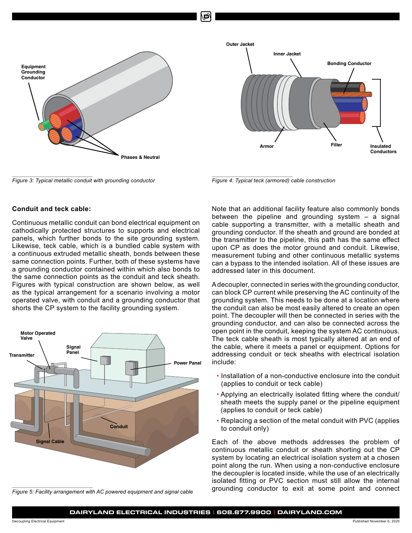

*Figure 3: Typical metallic conduit with grounding conductor Figure 4: Typical teck (armored) cable construction*

## **Conduit and teck cable:**

Continuous metallic conduit can bond electrical equipment on cathodically protected structures to supports and electrical panels, which further bonds to the site grounding system. Likewise, teck cable, which is a bundled cable system with a continuous extruded metallic sheath, bonds between these same connection points. Further, both of these systems have a grounding conductor contained within which also bonds to the same connection points as the conduit and teck sheath. Figures with typical construction are shown below, as well as the typical arrangement for a scenario involving a motor operated valve, with conduit and a grounding conductor that shorts the CP system to the facility grounding system.



*Figure 5: Facility arrangement with AC powered equipment and signal cable* 



Note that an additional facility feature also commonly bonds between the pipeline and grounding system – a signal cable supporting a transmitter, with a metallic sheath and grounding conductor. If the sheath and ground are bonded at the transmitter to the pipeline, this path has the same effect upon CP as does the motor ground and conduit. Likewise, measurement tubing and other continuous metallic systems can a bypass to the intended isolation. All of these issues are addressed later in this document.

A decoupler, connected in series with the grounding conductor, can block CP current while preserving the AC continuity of the grounding system. This needs to be done at a location where the conduit can also be most easily altered to create an open point. The decoupler will then be connected in series with the grounding conductor, and can also be connected across the open point in the conduit, keeping the system AC continuous. The teck cable sheath is most typically altered at an end of the cable, where it meets a panel or equipment. Options for addressing conduit or teck sheaths with electrical isolation include:

- Installation of a non-conductive enclosure into the conduit (applies to conduit or teck cable)
- Applying an electrically isolated fitting where the conduit/ sheath meets the supply panel or the pipeline equipment (applies to conduit or teck cable)
- Replacing a section of the metal conduit with PVC (applies to conduit only)

Each of the above methods addresses the problem of continuous metallic conduit or sheath shorting out the CP system by locating an electrical isolation system at a chosen point along the run. When using a non-conductive enclosure the decoupler is located inside, while the use of an electrically isolated fitting or PVC section must still allow the internal grounding conductor to exit at some point and connect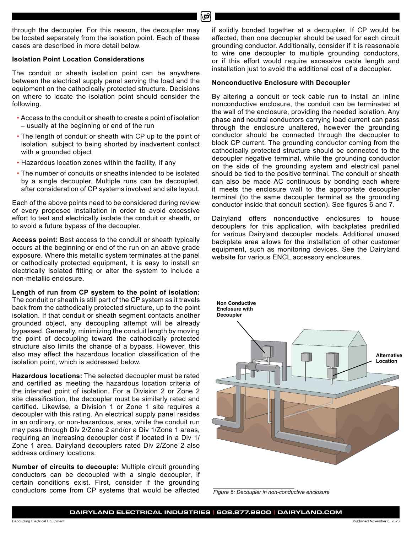through the decoupler. For this reason, the decoupler may be located separately from the isolation point. Each of these cases are described in more detail below.

# **Isolation Point Location Considerations**

The conduit or sheath isolation point can be anywhere between the electrical supply panel serving the load and the equipment on the cathodically protected structure. Decisions on where to locate the isolation point should consider the following.

- Access to the conduit or sheath to create a point of isolation – usually at the beginning or end of the run
- The length of conduit or sheath with CP up to the point of isolation, subject to being shorted by inadvertent contact with a grounded object
- Hazardous location zones within the facility, if any
- The number of conduits or sheaths intended to be isolated by a single decoupler. Multiple runs can be decoupled, after consideration of CP systems involved and site layout.

Each of the above points need to be considered during review of every proposed installation in order to avoid excessive effort to test and electrically isolate the conduit or sheath, or to avoid a future bypass of the decoupler.

**Access point:** Best access to the conduit or sheath typically occurs at the beginning or end of the run on an above grade exposure. Where this metallic system terminates at the panel or cathodically protected equipment, it is easy to install an electrically isolated fitting or alter the system to include a non-metallic enclosure.

**Length of run from CP system to the point of isolation:** The conduit or sheath is still part of the CP system as it travels back from the cathodically protected structure, up to the point isolation. If that conduit or sheath segment contacts another grounded object, any decoupling attempt will be already bypassed. Generally, minimizing the conduit length by moving the point of decoupling toward the cathodically protected structure also limits the chance of a bypass. However, this also may affect the hazardous location classification of the isolation point, which is addressed below.

**Hazardous locations:** The selected decoupler must be rated and certified as meeting the hazardous location criteria of the intended point of isolation. For a Division 2 or Zone 2 site classification, the decoupler must be similarly rated and certified. Likewise, a Division 1 or Zone 1 site requires a decoupler with this rating. An electrical supply panel resides in an ordinary, or non-hazardous, area, while the conduit run may pass through Div 2/Zone 2 and/or a Div 1/Zone 1 areas, requiring an increasing decoupler cost if located in a Div 1/ Zone 1 area. Dairyland decouplers rated Div 2/Zone 2 also address ordinary locations.

**Number of circuits to decouple:** Multiple circuit grounding conductors can be decoupled with a single decoupler, if certain conditions exist. First, consider if the grounding conductors come from CP systems that would be affected

if solidly bonded together at a decoupler. If CP would be affected, then one decoupler should be used for each circuit grounding conductor. Additionally, consider if it is reasonable to wire one decoupler to multiple grounding conductors, or if this effort would require excessive cable length and installation just to avoid the additional cost of a decoupler.

# **Nonconductive Enclosure with Decoupler**

By altering a conduit or teck cable run to install an inline nonconductive enclosure, the conduit can be terminated at the wall of the enclosure, providing the needed isolation. Any phase and neutral conductors carrying load current can pass through the enclosure unaltered, however the grounding conductor should be connected through the decoupler to block CP current. The grounding conductor coming from the cathodically protected structure should be connected to the decoupler negative terminal, while the grounding conductor on the side of the grounding system and electrical panel should be tied to the positive terminal. The conduit or sheath can also be made AC continuous by bonding each where it meets the enclosure wall to the appropriate decoupler terminal (to the same decoupler terminal as the grounding conductor inside that conduit section). See figures 6 and 7.

Dairyland offers nonconductive enclosures to house decouplers for this application, with backplates predrilled for various Dairyland decoupler models. Additional unused backplate area allows for the installation of other customer equipment, such as monitoring devices. See the Dairyland website for various ENCL accessory enclosures.



*Figure 6: Decoupler in non-conductive enclosure*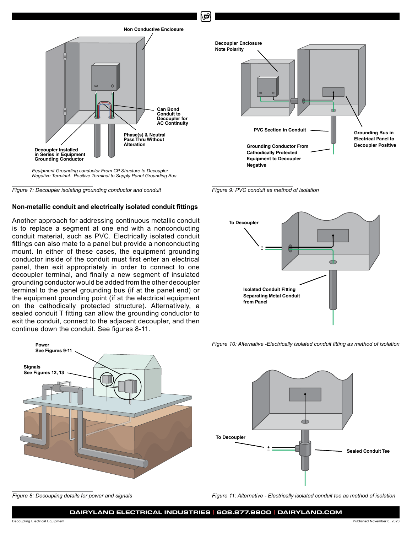



#### **Non-metallic conduit and electrically isolated conduit fittings**

Another approach for addressing continuous metallic conduit is to replace a segment at one end with a nonconducting conduit material, such as PVC. Electrically isolated conduit fittings can also mate to a panel but provide a nonconducting mount. In either of these cases, the equipment grounding conductor inside of the conduit must first enter an electrical panel, then exit appropriately in order to connect to one decoupler terminal, and finally a new segment of insulated grounding conductor would be added from the other decoupler terminal to the panel grounding bus (if at the panel end) or the equipment grounding point (if at the electrical equipment on the cathodically protected structure). Alternatively, a sealed conduit T fitting can allow the grounding conductor to exit the conduit, connect to the adjacent decoupler, and then continue down the conduit. See figures 8-11.







மி



*Figure 10: Alternative -Electrically isolated conduit fitting as method of isolation*



*Figure 8: Decoupling details for power and signals Figure 11: Alternative - Electrically isolated conduit tee as method of isolation*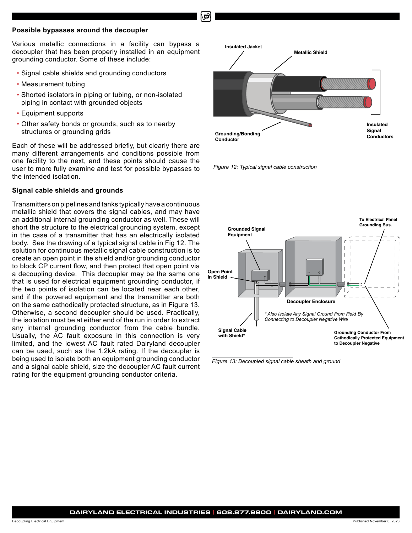#### **Possible bypasses around the decoupler**

Various metallic connections in a facility can bypass a decoupler that has been properly installed in an equipment grounding conductor. Some of these include:

- Signal cable shields and grounding conductors
- Measurement tubing
- Shorted isolators in piping or tubing, or non-isolated piping in contact with grounded objects
- Equipment supports
- Other safety bonds or grounds, such as to nearby structures or grounding grids

Each of these will be addressed briefly, but clearly there are many different arrangements and conditions possible from one facility to the next, and these points should cause the user to more fully examine and test for possible bypasses to the intended isolation.

### **Signal cable shields and grounds**

Transmitters on pipelines and tanks typically have a continuous metallic shield that covers the signal cables, and may have an additional internal grounding conductor as well. These will short the structure to the electrical grounding system, except in the case of a transmitter that has an electrically isolated body. See the drawing of a typical signal cable in Fig 12. The solution for continuous metallic signal cable construction is to create an open point in the shield and/or grounding conductor to block CP current flow, and then protect that open point via a decoupling device. This decoupler may be the same one that is used for electrical equipment grounding conductor, if the two points of isolation can be located near each other, and if the powered equipment and the transmitter are both on the same cathodically protected structure, as in Figure 13. Otherwise, a second decoupler should be used. Practically, the isolation must be at either end of the run in order to extract any internal grounding conductor from the cable bundle. Usually, the AC fault exposure in this connection is very limited, and the lowest AC fault rated Dairyland decoupler can be used, such as the 1.2kA rating. If the decoupler is being used to isolate both an equipment grounding conductor and a signal cable shield, size the decoupler AC fault current rating for the equipment grounding conductor criteria.



*Figure 12: Typical signal cable construction* 



*Figure 13: Decoupled signal cable sheath and ground*

Decoupling Electrical Equipment Published November 6, 2020